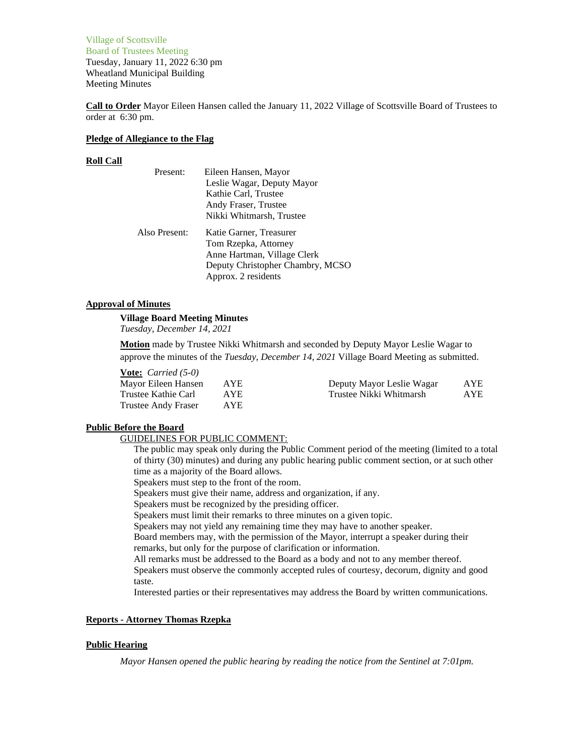Village of Scottsville Board of Trustees Meeting Tuesday, January 11, 2022 6:30 pm Wheatland Municipal Building Meeting Minutes

**Call to Order** Mayor Eileen Hansen called the January 11, 2022 Village of Scottsville Board of Trustees to order at 6:30 pm.

### **Pledge of Allegiance to the Flag**

### **Roll Call**

| Present:      | Eileen Hansen, Mayor             |
|---------------|----------------------------------|
|               | Leslie Wagar, Deputy Mayor       |
|               | Kathie Carl, Trustee             |
|               | Andy Fraser, Trustee             |
|               | Nikki Whitmarsh, Trustee         |
| Also Present: | Katie Garner, Treasurer          |
|               | Tom Rzepka, Attorney             |
|               | Anne Hartman, Village Clerk      |
|               | Deputy Christopher Chambry, MCSO |
|               | Approx. 2 residents              |

# **Approval of Minutes**

### **Village Board Meeting Minutes**

*Tuesday, December 14, 2021*

**Motion** made by Trustee Nikki Whitmarsh and seconded by Deputy Mayor Leslie Wagar to approve the minutes of the *Tuesday, December 14, 2021* Village Board Meeting as submitted.

### **Vote:** *Carried (5-0)*

| Mayor Eileen Hansen | AYE.       | Deputy Mayor Leslie Wagar | AYE  |
|---------------------|------------|---------------------------|------|
| Trustee Kathie Carl | <b>AYE</b> | Trustee Nikki Whitmarsh   | AYE. |
| Trustee Andy Fraser | AYE.       |                           |      |

### **Public Before the Board**

### GUIDELINES FOR PUBLIC COMMENT:

The public may speak only during the Public Comment period of the meeting (limited to a total of thirty (30) minutes) and during any public hearing public comment section, or at such other time as a majority of the Board allows.

Speakers must step to the front of the room.

Speakers must give their name, address and organization, if any.

Speakers must be recognized by the presiding officer.

Speakers must limit their remarks to three minutes on a given topic.

Speakers may not yield any remaining time they may have to another speaker.

Board members may, with the permission of the Mayor, interrupt a speaker during their remarks, but only for the purpose of clarification or information.

All remarks must be addressed to the Board as a body and not to any member thereof.

Speakers must observe the commonly accepted rules of courtesy, decorum, dignity and good taste.

Interested parties or their representatives may address the Board by written communications.

# **Reports - Attorney Thomas Rzepka**

### **Public Hearing**

*Mayor Hansen opened the public hearing by reading the notice from the Sentinel at 7:01pm.*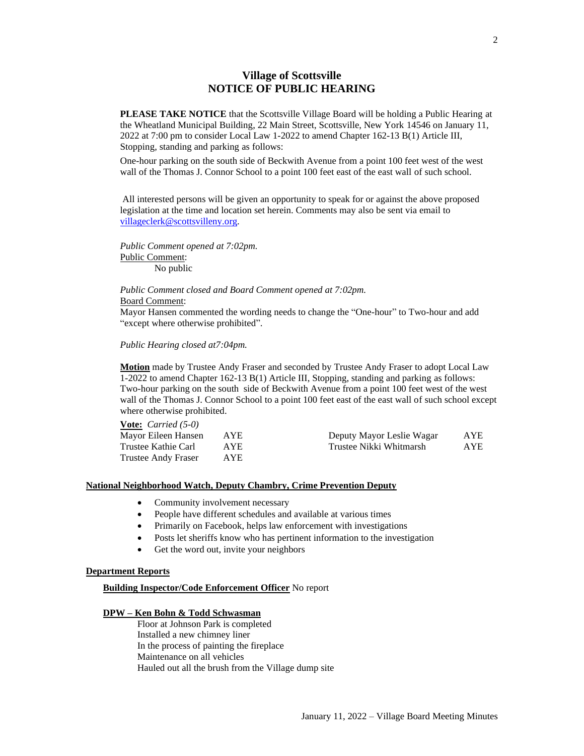# **Village of Scottsville NOTICE OF PUBLIC HEARING**

**PLEASE TAKE NOTICE** that the Scottsville Village Board will be holding a Public Hearing at the Wheatland Municipal Building, 22 Main Street, Scottsville, New York 14546 on January 11, 2022 at 7:00 pm to consider Local Law 1-2022 to amend Chapter 162-13 B(1) Article III, Stopping, standing and parking as follows:

One-hour parking on the south side of Beckwith Avenue from a point 100 feet west of the west wall of the Thomas J. Connor School to a point 100 feet east of the east wall of such school.

All interested persons will be given an opportunity to speak for or against the above proposed legislation at the time and location set herein. Comments may also be sent via email to [villageclerk@scottsvilleny.org.](mailto:villageclerk@scottsvilleny.org)

*Public Comment opened at 7:02pm.* Public Comment: No public

*Public Comment closed and Board Comment opened at 7:02pm.* Board Comment:

Mayor Hansen commented the wording needs to change the "One-hour" to Two-hour and add "except where otherwise prohibited".

### *Public Hearing closed at7:04pm.*

**Vote:** *Carried (5-0)*

**Motion** made by Trustee Andy Fraser and seconded by Trustee Andy Fraser to adopt Local Law 1-2022 to amend Chapter 162-13 B(1) Article III, Stopping, standing and parking as follows: Two-hour parking on the south side of Beckwith Avenue from a point 100 feet west of the west wall of the Thomas J. Connor School to a point 100 feet east of the east wall of such school except where otherwise prohibited.

| Deputy Mayor Leslie Wagar<br>AYE |
|----------------------------------|
| Trustee Nikki Whitmarsh<br>AYE.  |
|                                  |
|                                  |

### **National Neighborhood Watch, Deputy Chambry, Crime Prevention Deputy**

- Community involvement necessary
- People have different schedules and available at various times
- Primarily on Facebook, helps law enforcement with investigations
- Posts let sheriffs know who has pertinent information to the investigation
- Get the word out, invite your neighbors

### **Department Reports**

**Building Inspector/Code Enforcement Officer** No report

#### **DPW – Ken Bohn & Todd Schwasman**

Floor at Johnson Park is completed Installed a new chimney liner In the process of painting the fireplace Maintenance on all vehicles Hauled out all the brush from the Village dump site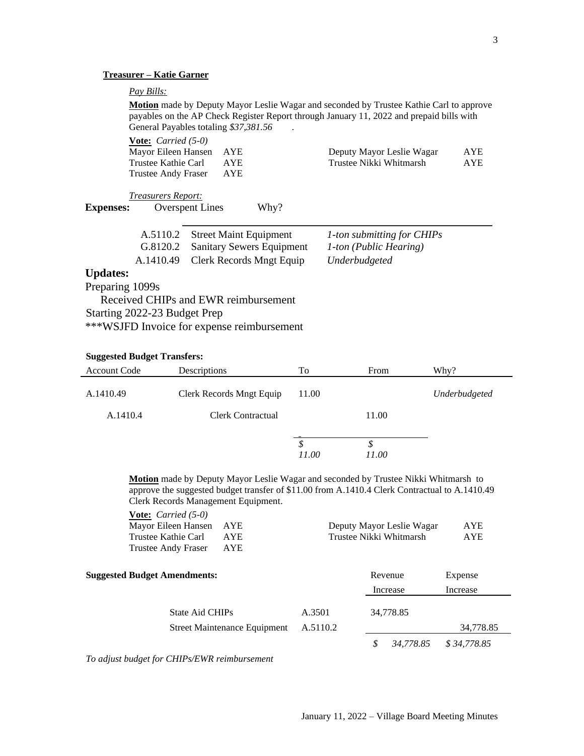# **Treasurer – Katie Garner**

# *Pay Bills:*

**Motion** made by Deputy Mayor Leslie Wagar and seconded by Trustee Kathie Carl to approve payables on the AP Check Register Report through January 11, 2022 and prepaid bills with General Payables totaling \$37,381.56 .

|                  | <b>Vote:</b> <i>Carried</i> $(5-0)$<br>Mayor Eileen Hansen<br>Trustee Kathie Carl<br><b>Trustee Andy Fraser</b> | <b>AYE</b><br><b>AYE</b><br><b>AYE</b> | Deputy Mayor Leslie Wagar<br>Trustee Nikki Whitmarsh | <b>AYE</b><br><b>AYE</b> |
|------------------|-----------------------------------------------------------------------------------------------------------------|----------------------------------------|------------------------------------------------------|--------------------------|
|                  | <i>Treasurers Report:</i>                                                                                       |                                        |                                                      |                          |
| <b>Expenses:</b> | <b>Overspent Lines</b>                                                                                          | Why?                                   |                                                      |                          |
|                  |                                                                                                                 |                                        |                                                      |                          |
|                  | A.5110.2                                                                                                        | <b>Street Maint Equipment</b>          | 1-ton submitting for CHIPs                           |                          |
|                  | G.8120.2                                                                                                        | <b>Sanitary Sewers Equipment</b>       | 1-ton (Public Hearing)                               |                          |
|                  | A.1410.49                                                                                                       | <b>Clerk Records Mngt Equip</b>        | Underbudgeted                                        |                          |
| <b>Updates:</b>  |                                                                                                                 |                                        |                                                      |                          |
| Preparing 1099s  |                                                                                                                 |                                        |                                                      |                          |
|                  |                                                                                                                 | Received CHIPs and EWR reimbursement   |                                                      |                          |
|                  | Starting 2022-23 Budget Prep                                                                                    |                                        |                                                      |                          |

\*\*\*WSJFD Invoice for expense reimbursement

# **Suggested Budget Transfers:**

| <b>Account Code</b> | Descriptions             | To          | From        | Why?          |
|---------------------|--------------------------|-------------|-------------|---------------|
| A.1410.49           | Clerk Records Mngt Equip | 11.00       |             | Underbudgeted |
| A.1410.4            | Clerk Contractual        |             | 11.00       |               |
|                     |                          | \$<br>11.00 | \$<br>11.00 |               |

**Motion** made by Deputy Mayor Leslie Wagar and seconded by Trustee Nikki Whitmarsh to approve the suggested budget transfer of \$11.00 from A.1410.4 Clerk Contractual to A.1410.49 Clerk Records Management Equipment.

| <b>Vote:</b> <i>Carried</i> $(5-0)$<br>Mayor Eileen Hansen<br><b>AYE</b><br>Trustee Kathie Carl<br><b>AYE</b><br>AYE<br><b>Trustee Andy Fraser</b> |          | Deputy Mayor Leslie Wagar<br>Trustee Nikki Whitmarsh | <b>AYE</b><br>AYE   |
|----------------------------------------------------------------------------------------------------------------------------------------------------|----------|------------------------------------------------------|---------------------|
| <b>Suggested Budget Amendments:</b>                                                                                                                |          | Revenue<br>Increase                                  | Expense<br>Increase |
| <b>State Aid CHIPs</b>                                                                                                                             | A.3501   | 34,778.85                                            |                     |
| <b>Street Maintenance Equipment</b>                                                                                                                | A.5110.2 |                                                      | 34,778.85           |
|                                                                                                                                                    |          | 34.778.85                                            | \$34,778.85         |

*To adjust budget for CHIPs/EWR reimbursement*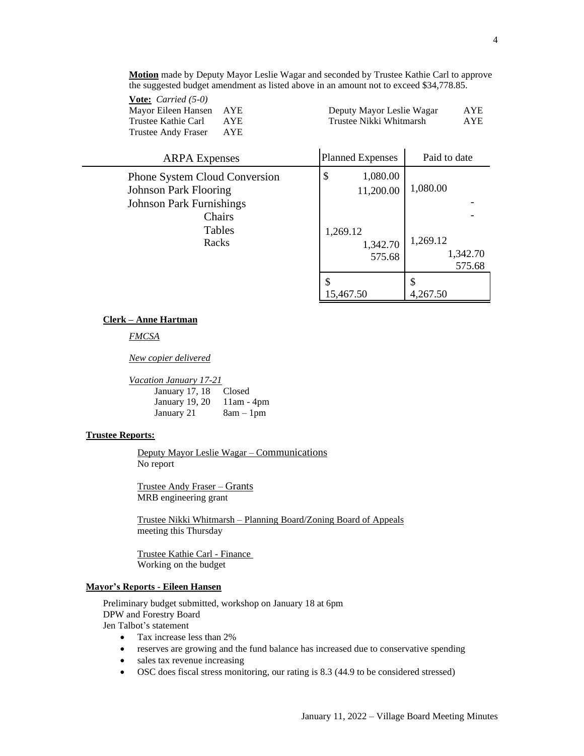**Motion** made by Deputy Mayor Leslie Wagar and seconded by Trustee Kathie Carl to approve the suggested budget amendment as listed above in an amount not to exceed \$34,778.85.

| <b>Vote:</b> <i>Carried</i> (5-0) |            |                           |            |
|-----------------------------------|------------|---------------------------|------------|
| Mayor Eileen Hansen AYE           |            | Deputy Mayor Leslie Wagar | <b>AYE</b> |
| Trustee Kathie Carl               | AYE.       | Trustee Nikki Whitmarsh   | <b>AYE</b> |
| Trustee Andy Fraser               | <b>AYE</b> |                           |            |
|                                   |            |                           |            |

| <b>ARPA</b> Expenses                                                                                    | <b>Planned Expenses</b>        | Paid to date                   |
|---------------------------------------------------------------------------------------------------------|--------------------------------|--------------------------------|
| <b>Phone System Cloud Conversion</b><br><b>Johnson Park Flooring</b><br><b>Johnson Park Furnishings</b> | \$<br>1,080.00<br>11,200.00    | 1,080.00                       |
| Chairs<br>Tables<br>Racks                                                                               | 1,269.12<br>1,342.70<br>575.68 | 1,269.12<br>1,342.70<br>575.68 |
|                                                                                                         | 15,467.50                      | S<br>4,267.50                  |

#### **Clerk – Anne Hartman**

*FMCSA*

*New copier delivered*

*Vacation January 17-21*

| January 17, 18 | Closed       |
|----------------|--------------|
| January 19, 20 | $11am - 4pm$ |
| January 21     | $8am - 1pm$  |

#### **Trustee Reports:**

Deputy Mayor Leslie Wagar – Communications No report

Trustee Andy Fraser – Grants MRB engineering grant

Trustee Nikki Whitmarsh – Planning Board/Zoning Board of Appeals meeting this Thursday

Trustee Kathie Carl - Finance Working on the budget

#### **Mayor's Reports - Eileen Hansen**

Preliminary budget submitted, workshop on January 18 at 6pm DPW and Forestry Board Jen Talbot's statement

- Tax increase less than 2%
- reserves are growing and the fund balance has increased due to conservative spending
- sales tax revenue increasing
- OSC does fiscal stress monitoring, our rating is 8.3 (44.9 to be considered stressed)